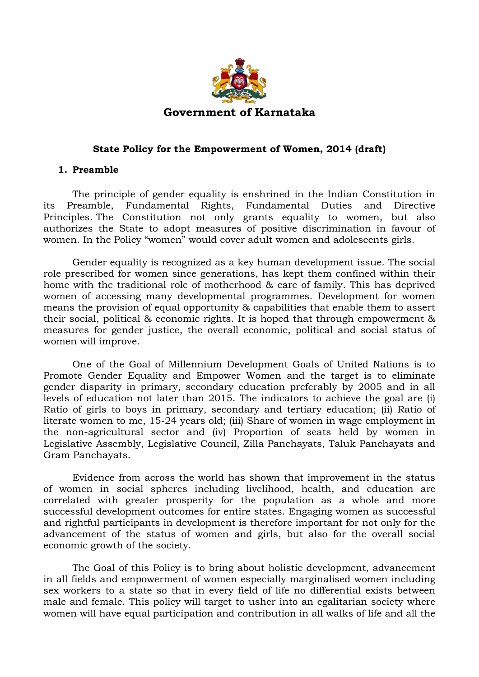

#### **State Policy for the Empowerment of Women, 2014 (draft)**

#### **1. Preamble**

The principle of gender equality is enshrined in the Indian Constitution in its Preamble, Fundamental Rights, Fundamental Duties and Directive Principles. The Constitution not only grants equality to women, but also authorizes the State to adopt measures of positive discrimination in favour of women. In the Policy "women" would cover adult women and adolescents girls.

Gender equality is recognized as a key human development issue. The social role prescribed for women since generations, has kept them confined within their home with the traditional role of motherhood & care of family. This has deprived women of accessing many developmental programmes. Development for women means the provision of equal opportunity & capabilities that enable them to assert their social, political & economic rights. It is hoped that through empowerment & measures for gender justice, the overall economic, political and social status of women will improve.

One of the Goal of Millennium Development Goals of United Nations is to Promote Gender Equality and Empower Women and the target is to eliminate gender disparity in primary, secondary education preferably by 2005 and in all levels of education not later than 2015. The indicators to achieve the goal are (i) Ratio of girls to boys in primary, secondary and tertiary education; (ii) Ratio of literate women to me, 15-24 years old; (iii) Share of women in wage employment in the non-agricultural sector and (iv) Proportion of seats held by women in Legislative Assembly, Legislative Council, Zilla Panchayats, Taluk Panchayats and Gram Panchayats.

Evidence from across the world has shown that improvement in the status of women in social spheres including livelihood, health, and education are correlated with greater prosperity for the population as a whole and more successful development outcomes for entire states. Engaging women as successful and rightful participants in development is therefore important for not only for the advancement of the status of women and girls, but also for the overall social economic growth of the society.

The Goal of this Policy is to bring about holistic development, advancement in all fields and empowerment of women especially marginalised women including sex workers to a state so that in every field of life no differential exists between male and female. This policy will target to usher into an egalitarian society where women will have equal participation and contribution in all walks of life and all the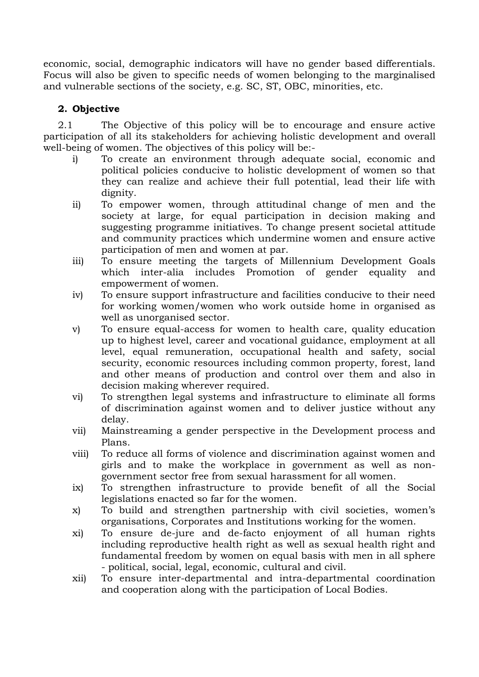economic, social, demographic indicators will have no gender based differentials. Focus will also be given to specific needs of women belonging to the marginalised and vulnerable sections of the society, e.g. SC, ST, OBC, minorities, etc.

### **2. Objective**

2.1 The Objective of this policy will be to encourage and ensure active participation of all its stakeholders for achieving holistic development and overall well-being of women. The objectives of this policy will be:-

- i) To create an environment through adequate social, economic and political policies conducive to holistic development of women so that they can realize and achieve their full potential, lead their life with dignity.
- ii) To empower women, through attitudinal change of men and the society at large, for equal participation in decision making and suggesting programme initiatives. To change present societal attitude and community practices which undermine women and ensure active participation of men and women at par.
- iii) To ensure meeting the targets of Millennium Development Goals which inter-alia includes Promotion of gender equality and empowerment of women.
- iv) To ensure support infrastructure and facilities conducive to their need for working women/women who work outside home in organised as well as unorganised sector.
- v) To ensure equal-access for women to health care, quality education up to highest level, career and vocational guidance, employment at all level, equal remuneration, occupational health and safety, social security, economic resources including common property, forest, land and other means of production and control over them and also in decision making wherever required.
- vi) To strengthen legal systems and infrastructure to eliminate all forms of discrimination against women and to deliver justice without any delay.
- vii) Mainstreaming a gender perspective in the Development process and Plans.
- viii) To reduce all forms of violence and discrimination against women and girls and to make the workplace in government as well as nongovernment sector free from sexual harassment for all women.
- ix) To strengthen infrastructure to provide benefit of all the Social legislations enacted so far for the women.
- x) To build and strengthen partnership with civil societies, women's organisations, Corporates and Institutions working for the women.
- xi) To ensure de-jure and de-facto enjoyment of all human rights including reproductive health right as well as sexual health right and fundamental freedom by women on equal basis with men in all sphere - political, social, legal, economic, cultural and civil.
- xii) To ensure inter-departmental and intra-departmental coordination and cooperation along with the participation of Local Bodies.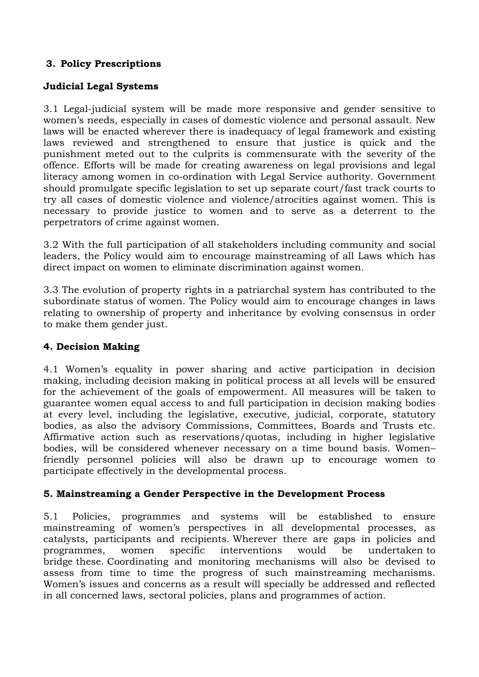# **3. Policy Prescriptions**

## **Judicial Legal Systems**

3.1 Legal-judicial system will be made more responsive and gender sensitive to women's needs, especially in cases of domestic violence and personal assault. New laws will be enacted wherever there is inadequacy of legal framework and existing laws reviewed and strengthened to ensure that justice is quick and the punishment meted out to the culprits is commensurate with the severity of the offence. Efforts will be made for creating awareness on legal provisions and legal literacy among women in co-ordination with Legal Service authority. Government should promulgate specific legislation to set up separate court/fast track courts to try all cases of domestic violence and violence/atrocities against women. This is necessary to provide justice to women and to serve as a deterrent to the perpetrators of crime against women.

3.2 With the full participation of all stakeholders including community and social leaders, the Policy would aim to encourage mainstreaming of all Laws which has direct impact on women to eliminate discrimination against women.

3.3 The evolution of property rights in a patriarchal system has contributed to the subordinate status of women. The Policy would aim to encourage changes in laws relating to ownership of property and inheritance by evolving consensus in order to make them gender just.

### **4. Decision Making**

4.1 Women's equality in power sharing and active participation in decision making, including decision making in political process at all levels will be ensured for the achievement of the goals of empowerment. All measures will be taken to guarantee women equal access to and full participation in decision making bodies at every level, including the legislative, executive, judicial, corporate, statutory bodies, as also the advisory Commissions, Committees, Boards and Trusts etc. Affirmative action such as reservations/quotas, including in higher legislative bodies, will be considered whenever necessary on a time bound basis. Women– friendly personnel policies will also be drawn up to encourage women to participate effectively in the developmental process.

### **5. Mainstreaming a Gender Perspective in the Development Process**

5.1 Policies, programmes and systems will be established to ensure mainstreaming of women's perspectives in all developmental processes, as catalysts, participants and recipients. Wherever there are gaps in policies and programmes, women specific interventions would be undertaken to bridge these. Coordinating and monitoring mechanisms will also be devised to assess from time to time the progress of such mainstreaming mechanisms. Women's issues and concerns as a result will specially be addressed and reflected in all concerned laws, sectoral policies, plans and programmes of action.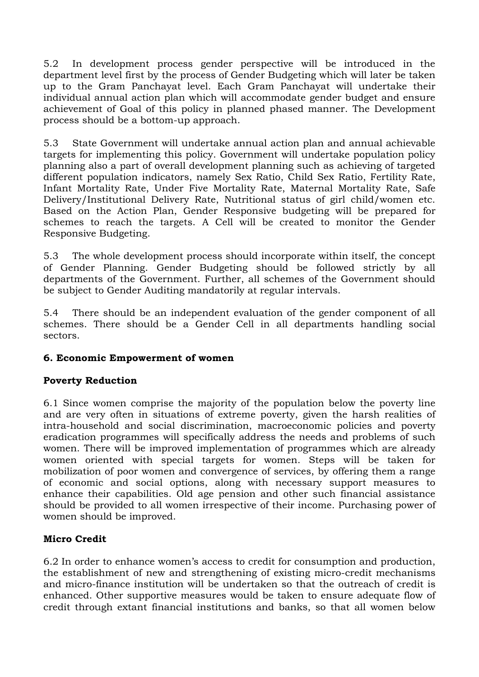5.2 In development process gender perspective will be introduced in the department level first by the process of Gender Budgeting which will later be taken up to the Gram Panchayat level. Each Gram Panchayat will undertake their individual annual action plan which will accommodate gender budget and ensure achievement of Goal of this policy in planned phased manner. The Development process should be a bottom-up approach.

5.3 State Government will undertake annual action plan and annual achievable targets for implementing this policy. Government will undertake population policy planning also a part of overall development planning such as achieving of targeted different population indicators, namely Sex Ratio, Child Sex Ratio, Fertility Rate, Infant Mortality Rate, Under Five Mortality Rate, Maternal Mortality Rate, Safe Delivery/Institutional Delivery Rate, Nutritional status of girl child/women etc. Based on the Action Plan, Gender Responsive budgeting will be prepared for schemes to reach the targets. A Cell will be created to monitor the Gender Responsive Budgeting.

5.3 The whole development process should incorporate within itself, the concept of Gender Planning. Gender Budgeting should be followed strictly by all departments of the Government. Further, all schemes of the Government should be subject to Gender Auditing mandatorily at regular intervals.

5.4 There should be an independent evaluation of the gender component of all schemes. There should be a Gender Cell in all departments handling social sectors.

### **6. Economic Empowerment of women**

### **Poverty Reduction**

6.1 Since women comprise the majority of the population below the poverty line and are very often in situations of extreme poverty, given the harsh realities of intra-household and social discrimination, macroeconomic policies and poverty eradication programmes will specifically address the needs and problems of such women. There will be improved implementation of programmes which are already women oriented with special targets for women. Steps will be taken for mobilization of poor women and convergence of services, by offering them a range of economic and social options, along with necessary support measures to enhance their capabilities. Old age pension and other such financial assistance should be provided to all women irrespective of their income. Purchasing power of women should be improved.

### **Micro Credit**

6.2 In order to enhance women's access to credit for consumption and production, the establishment of new and strengthening of existing micro-credit mechanisms and micro-finance institution will be undertaken so that the outreach of credit is enhanced. Other supportive measures would be taken to ensure adequate flow of credit through extant financial institutions and banks, so that all women below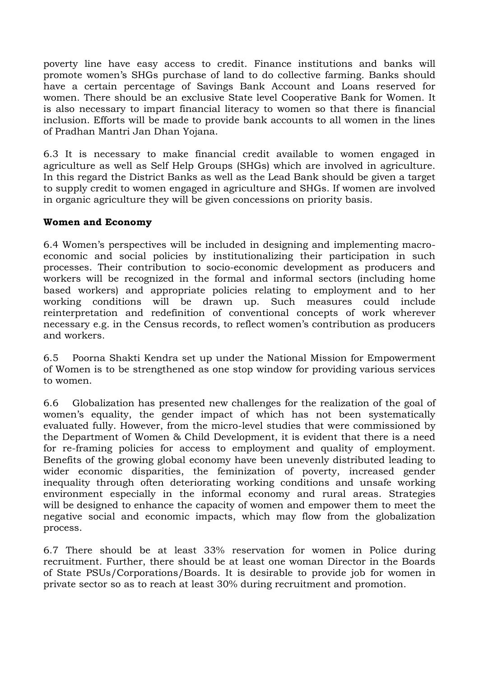poverty line have easy access to credit. Finance institutions and banks will promote women's SHGs purchase of land to do collective farming. Banks should have a certain percentage of Savings Bank Account and Loans reserved for women. There should be an exclusive State level Cooperative Bank for Women. It is also necessary to impart financial literacy to women so that there is financial inclusion. Efforts will be made to provide bank accounts to all women in the lines of Pradhan Mantri Jan Dhan Yojana.

6.3 It is necessary to make financial credit available to women engaged in agriculture as well as Self Help Groups (SHGs) which are involved in agriculture. In this regard the District Banks as well as the Lead Bank should be given a target to supply credit to women engaged in agriculture and SHGs. If women are involved in organic agriculture they will be given concessions on priority basis.

### **Women and Economy**

6.4 Women's perspectives will be included in designing and implementing macroeconomic and social policies by institutionalizing their participation in such processes. Their contribution to socio-economic development as producers and workers will be recognized in the formal and informal sectors (including home based workers) and appropriate policies relating to employment and to her working conditions will be drawn up. Such measures could include reinterpretation and redefinition of conventional concepts of work wherever necessary e.g. in the Census records, to reflect women's contribution as producers and workers.

6.5 Poorna Shakti Kendra set up under the National Mission for Empowerment of Women is to be strengthened as one stop window for providing various services to women.

6.6 Globalization has presented new challenges for the realization of the goal of women's equality, the gender impact of which has not been systematically evaluated fully. However, from the micro-level studies that were commissioned by the Department of Women & Child Development, it is evident that there is a need for re-framing policies for access to employment and quality of employment. Benefits of the growing global economy have been unevenly distributed leading to wider economic disparities, the feminization of poverty, increased gender inequality through often deteriorating working conditions and unsafe working environment especially in the informal economy and rural areas. Strategies will be designed to enhance the capacity of women and empower them to meet the negative social and economic impacts, which may flow from the globalization process.

6.7 There should be at least 33% reservation for women in Police during recruitment. Further, there should be at least one woman Director in the Boards of State PSUs/Corporations/Boards. It is desirable to provide job for women in private sector so as to reach at least 30% during recruitment and promotion.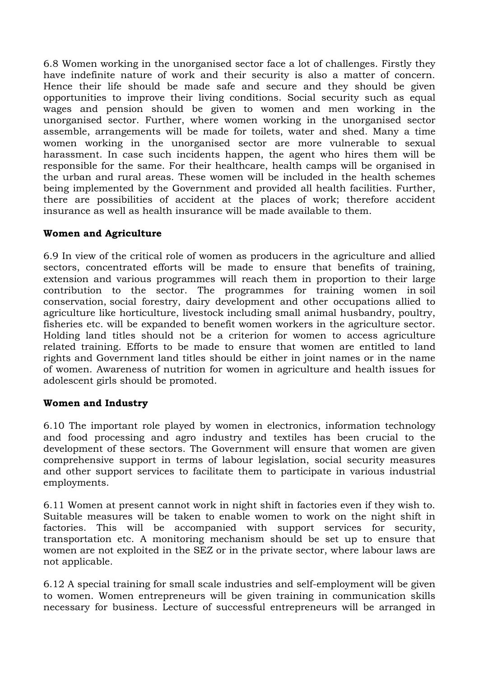6.8 Women working in the unorganised sector face a lot of challenges. Firstly they have indefinite nature of work and their security is also a matter of concern. Hence their life should be made safe and secure and they should be given opportunities to improve their living conditions. Social security such as equal wages and pension should be given to women and men working in the unorganised sector. Further, where women working in the unorganised sector assemble, arrangements will be made for toilets, water and shed. Many a time women working in the unorganised sector are more vulnerable to sexual harassment. In case such incidents happen, the agent who hires them will be responsible for the same. For their healthcare, health camps will be organised in the urban and rural areas. These women will be included in the health schemes being implemented by the Government and provided all health facilities. Further, there are possibilities of accident at the places of work; therefore accident insurance as well as health insurance will be made available to them.

# **Women and Agriculture**

6.9 In view of the critical role of women as producers in the agriculture and allied sectors, concentrated efforts will be made to ensure that benefits of training, extension and various programmes will reach them in proportion to their large contribution to the sector. The programmes for training women in soil conservation, social forestry, dairy development and other occupations allied to agriculture like horticulture, livestock including small animal husbandry, poultry, fisheries etc. will be expanded to benefit women workers in the agriculture sector. Holding land titles should not be a criterion for women to access agriculture related training. Efforts to be made to ensure that women are entitled to land rights and Government land titles should be either in joint names or in the name of women. Awareness of nutrition for women in agriculture and health issues for adolescent girls should be promoted.

### **Women and Industry**

6.10 The important role played by women in electronics, information technology and food processing and agro industry and textiles has been crucial to the development of these sectors. The Government will ensure that women are given comprehensive support in terms of labour legislation, social security measures and other support services to facilitate them to participate in various industrial employments.

6.11 Women at present cannot work in night shift in factories even if they wish to. Suitable measures will be taken to enable women to work on the night shift in factories. This will be accompanied with support services for security, transportation etc. A monitoring mechanism should be set up to ensure that women are not exploited in the SEZ or in the private sector, where labour laws are not applicable.

6.12 A special training for small scale industries and self-employment will be given to women. Women entrepreneurs will be given training in communication skills necessary for business. Lecture of successful entrepreneurs will be arranged in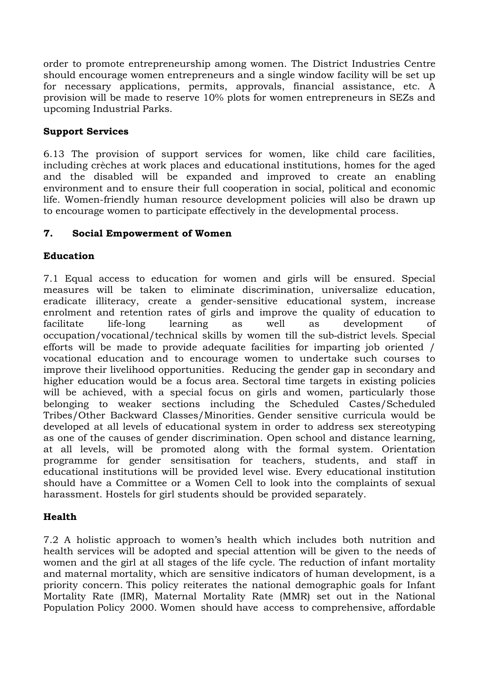order to promote entrepreneurship among women. The District Industries Centre should encourage women entrepreneurs and a single window facility will be set up for necessary applications, permits, approvals, financial assistance, etc. A provision will be made to reserve 10% plots for women entrepreneurs in SEZs and upcoming Industrial Parks.

### **Support Services**

6.13 The provision of support services for women, like child care facilities, including crèches at work places and educational institutions, homes for the aged and the disabled will be expanded and improved to create an enabling environment and to ensure their full cooperation in social, political and economic life. Women-friendly human resource development policies will also be drawn up to encourage women to participate effectively in the developmental process.

### **7. Social Empowerment of Women**

### **Education**

7.1 Equal access to education for women and girls will be ensured. Special measures will be taken to eliminate discrimination, universalize education, eradicate illiteracy, create a gender-sensitive educational system, increase enrolment and retention rates of girls and improve the quality of education to facilitate life-long learning as well as development of occupation/vocational/technical skills by women till the sub-district levels. Special efforts will be made to provide adequate facilities for imparting job oriented / vocational education and to encourage women to undertake such courses to improve their livelihood opportunities. Reducing the gender gap in secondary and higher education would be a focus area. Sectoral time targets in existing policies will be achieved, with a special focus on girls and women, particularly those belonging to weaker sections including the Scheduled Castes/Scheduled Tribes/Other Backward Classes/Minorities. Gender sensitive curricula would be developed at all levels of educational system in order to address sex stereotyping as one of the causes of gender discrimination. Open school and distance learning, at all levels, will be promoted along with the formal system. Orientation programme for gender sensitisation for teachers, students, and staff in educational institutions will be provided level wise. Every educational institution should have a Committee or a Women Cell to look into the complaints of sexual harassment. Hostels for girl students should be provided separately.

#### **Health**

7.2 A holistic approach to women's health which includes both nutrition and health services will be adopted and special attention will be given to the needs of women and the girl at all stages of the life cycle. The reduction of infant mortality and maternal mortality, which are sensitive indicators of human development, is a priority concern. This policy reiterates the national demographic goals for Infant Mortality Rate (IMR), Maternal Mortality Rate (MMR) set out in the National Population Policy 2000. Women should have access to comprehensive, affordable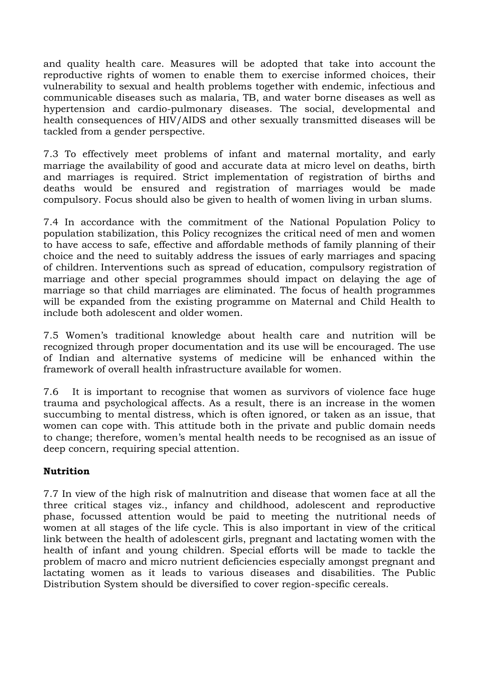and quality health care. Measures will be adopted that take into account the reproductive rights of women to enable them to exercise informed choices, their vulnerability to sexual and health problems together with endemic, infectious and communicable diseases such as malaria, TB, and water borne diseases as well as hypertension and cardio-pulmonary diseases. The social, developmental and health consequences of HIV/AIDS and other sexually transmitted diseases will be tackled from a gender perspective.

7.3 To effectively meet problems of infant and maternal mortality, and early marriage the availability of good and accurate data at micro level on deaths, birth and marriages is required. Strict implementation of registration of births and deaths would be ensured and registration of marriages would be made compulsory. Focus should also be given to health of women living in urban slums.

7.4 In accordance with the commitment of the National Population Policy to population stabilization, this Policy recognizes the critical need of men and women to have access to safe, effective and affordable methods of family planning of their choice and the need to suitably address the issues of early marriages and spacing of children. Interventions such as spread of education, compulsory registration of marriage and other special programmes should impact on delaying the age of marriage so that child marriages are eliminated. The focus of health programmes will be expanded from the existing programme on Maternal and Child Health to include both adolescent and older women.

7.5 Women's traditional knowledge about health care and nutrition will be recognized through proper documentation and its use will be encouraged. The use of Indian and alternative systems of medicine will be enhanced within the framework of overall health infrastructure available for women.

7.6 It is important to recognise that women as survivors of violence face huge trauma and psychological affects. As a result, there is an increase in the women succumbing to mental distress, which is often ignored, or taken as an issue, that women can cope with. This attitude both in the private and public domain needs to change; therefore, women's mental health needs to be recognised as an issue of deep concern, requiring special attention.

### **Nutrition**

7.7 In view of the high risk of malnutrition and disease that women face at all the three critical stages viz., infancy and childhood, adolescent and reproductive phase, focussed attention would be paid to meeting the nutritional needs of women at all stages of the life cycle. This is also important in view of the critical link between the health of adolescent girls, pregnant and lactating women with the health of infant and young children. Special efforts will be made to tackle the problem of macro and micro nutrient deficiencies especially amongst pregnant and lactating women as it leads to various diseases and disabilities. The Public Distribution System should be diversified to cover region-specific cereals.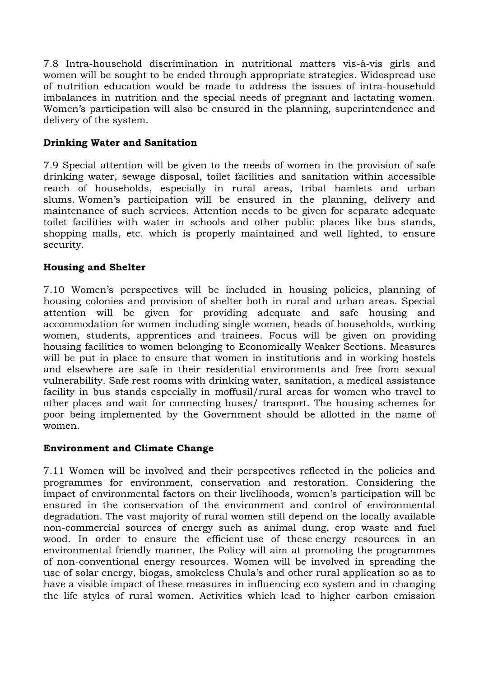7.8 Intra-household discrimination in nutritional matters vis-à-vis girls and women will be sought to be ended through appropriate strategies. Widespread use of nutrition education would be made to address the issues of intra-household imbalances in nutrition and the special needs of pregnant and lactating women. Women's participation will also be ensured in the planning, superintendence and delivery of the system.

### **Drinking Water and Sanitation**

7.9 Special attention will be given to the needs of women in the provision of safe drinking water, sewage disposal, toilet facilities and sanitation within accessible reach of households, especially in rural areas, tribal hamlets and urban slums. Women's participation will be ensured in the planning, delivery and maintenance of such services. Attention needs to be given for separate adequate toilet facilities with water in schools and other public places like bus stands, shopping malls, etc. which is properly maintained and well lighted, to ensure security.

# **Housing and Shelter**

7.10 Women's perspectives will be included in housing policies, planning of housing colonies and provision of shelter both in rural and urban areas. Special attention will be given for providing adequate and safe housing and accommodation for women including single women, heads of households, working women, students, apprentices and trainees. Focus will be given on providing housing facilities to women belonging to Economically Weaker Sections. Measures will be put in place to ensure that women in institutions and in working hostels and elsewhere are safe in their residential environments and free from sexual vulnerability. Safe rest rooms with drinking water, sanitation, a medical assistance facility in bus stands especially in moffusil/rural areas for women who travel to other places and wait for connecting buses/ transport. The housing schemes for poor being implemented by the Government should be allotted in the name of women.

### **Environment and Climate Change**

7.11 Women will be involved and their perspectives reflected in the policies and programmes for environment, conservation and restoration. Considering the impact of environmental factors on their livelihoods, women's participation will be ensured in the conservation of the environment and control of environmental degradation. The vast majority of rural women still depend on the locally available non-commercial sources of energy such as animal dung, crop waste and fuel wood. In order to ensure the efficient use of these energy resources in an environmental friendly manner, the Policy will aim at promoting the programmes of non-conventional energy resources. Women will be involved in spreading the use of solar energy, biogas, smokeless Chula's and other rural application so as to have a visible impact of these measures in influencing eco system and in changing the life styles of rural women. Activities which lead to higher carbon emission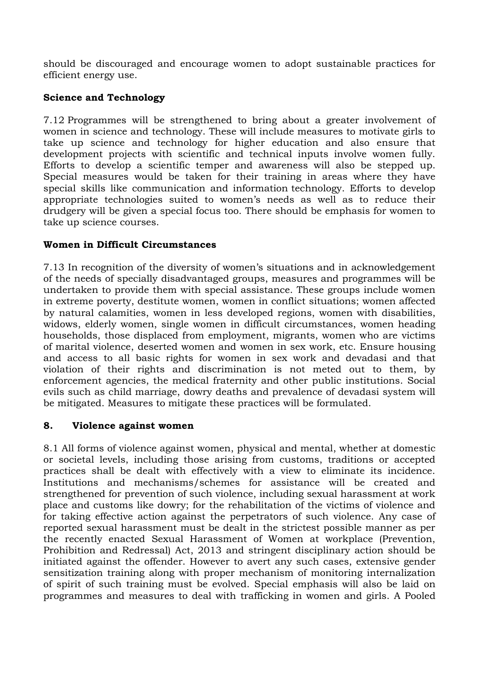should be discouraged and encourage women to adopt sustainable practices for efficient energy use.

# **Science and Technology**

7.12 Programmes will be strengthened to bring about a greater involvement of women in science and technology. These will include measures to motivate girls to take up science and technology for higher education and also ensure that development projects with scientific and technical inputs involve women fully. Efforts to develop a scientific temper and awareness will also be stepped up. Special measures would be taken for their training in areas where they have special skills like communication and information technology. Efforts to develop appropriate technologies suited to women's needs as well as to reduce their drudgery will be given a special focus too. There should be emphasis for women to take up science courses.

### **Women in Difficult Circumstances**

7.13 In recognition of the diversity of women's situations and in acknowledgement of the needs of specially disadvantaged groups, measures and programmes will be undertaken to provide them with special assistance. These groups include women in extreme poverty, destitute women, women in conflict situations; women affected by natural calamities, women in less developed regions, women with disabilities, widows, elderly women, single women in difficult circumstances, women heading households, those displaced from employment, migrants, women who are victims of marital violence, deserted women and women in sex work, etc. Ensure housing and access to all basic rights for women in sex work and devadasi and that violation of their rights and discrimination is not meted out to them, by enforcement agencies, the medical fraternity and other public institutions. Social evils such as child marriage, dowry deaths and prevalence of devadasi system will be mitigated. Measures to mitigate these practices will be formulated.

### **8. Violence against women**

8.1 All forms of violence against women, physical and mental, whether at domestic or societal levels, including those arising from customs, traditions or accepted practices shall be dealt with effectively with a view to eliminate its incidence. Institutions and mechanisms/schemes for assistance will be created and strengthened for prevention of such violence, including sexual harassment at work place and customs like dowry; for the rehabilitation of the victims of violence and for taking effective action against the perpetrators of such violence. Any case of reported sexual harassment must be dealt in the strictest possible manner as per the recently enacted Sexual Harassment of Women at workplace (Prevention, Prohibition and Redressal) Act, 2013 and stringent disciplinary action should be initiated against the offender. However to avert any such cases, extensive gender sensitization training along with proper mechanism of monitoring internalization of spirit of such training must be evolved. Special emphasis will also be laid on programmes and measures to deal with trafficking in women and girls. A Pooled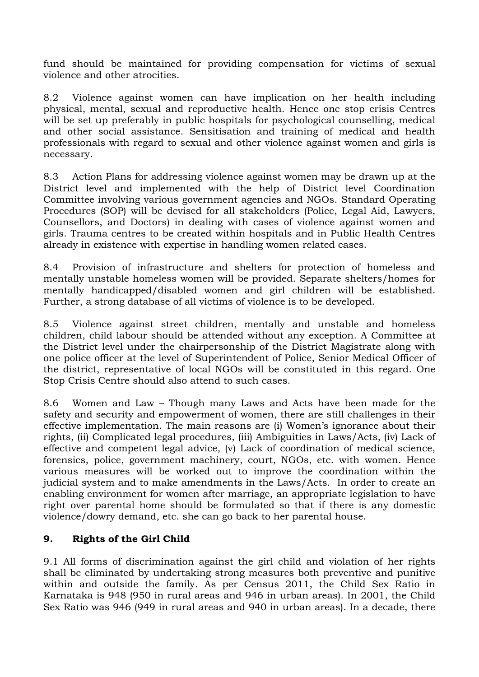fund should be maintained for providing compensation for victims of sexual violence and other atrocities.

8.2 Violence against women can have implication on her health including physical, mental, sexual and reproductive health. Hence one stop crisis Centres will be set up preferably in public hospitals for psychological counselling, medical and other social assistance. Sensitisation and training of medical and health professionals with regard to sexual and other violence against women and girls is necessary.

8.3 Action Plans for addressing violence against women may be drawn up at the District level and implemented with the help of District level Coordination Committee involving various government agencies and NGOs. Standard Operating Procedures (SOP) will be devised for all stakeholders (Police, Legal Aid, Lawyers, Counsellors, and Doctors) in dealing with cases of violence against women and girls. Trauma centres to be created within hospitals and in Public Health Centres already in existence with expertise in handling women related cases.

8.4 Provision of infrastructure and shelters for protection of homeless and mentally unstable homeless women will be provided. Separate shelters/homes for mentally handicapped/disabled women and girl children will be established. Further, a strong database of all victims of violence is to be developed.

8.5 Violence against street children, mentally and unstable and homeless children, child labour should be attended without any exception. A Committee at the District level under the chairpersonship of the District Magistrate along with one police officer at the level of Superintendent of Police, Senior Medical Officer of the district, representative of local NGOs will be constituted in this regard. One Stop Crisis Centre should also attend to such cases.

8.6 Women and Law – Though many Laws and Acts have been made for the safety and security and empowerment of women, there are still challenges in their effective implementation. The main reasons are (i) Women's ignorance about their rights, (ii) Complicated legal procedures, (iii) Ambiguities in Laws/Acts, (iv) Lack of effective and competent legal advice, (v) Lack of coordination of medical science, forensics, police, government machinery, court, NGOs, etc. with women. Hence various measures will be worked out to improve the coordination within the judicial system and to make amendments in the Laws/Acts. In order to create an enabling environment for women after marriage, an appropriate legislation to have right over parental home should be formulated so that if there is any domestic violence/dowry demand, etc. she can go back to her parental house.

### **9. Rights of the Girl Child**

9.1 All forms of discrimination against the girl child and violation of her rights shall be eliminated by undertaking strong measures both preventive and punitive within and outside the family. As per Census 2011, the Child Sex Ratio in Karnataka is 948 (950 in rural areas and 946 in urban areas). In 2001, the Child Sex Ratio was 946 (949 in rural areas and 940 in urban areas). In a decade, there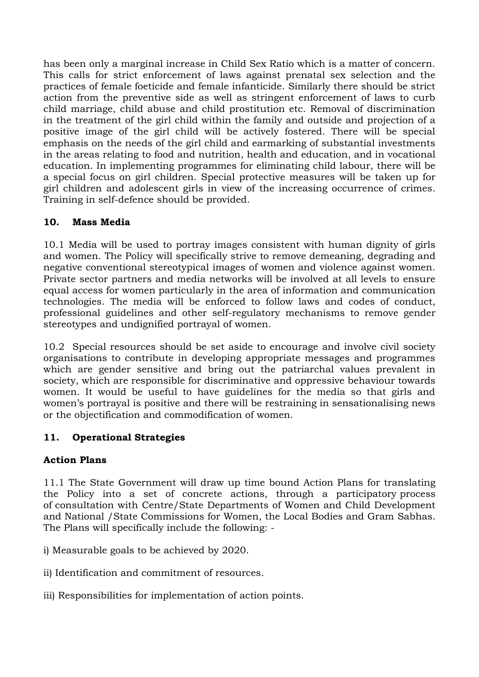has been only a marginal increase in Child Sex Ratio which is a matter of concern. This calls for strict enforcement of laws against prenatal sex selection and the practices of female foeticide and female infanticide. Similarly there should be strict action from the preventive side as well as stringent enforcement of laws to curb child marriage, child abuse and child prostitution etc. Removal of discrimination in the treatment of the girl child within the family and outside and projection of a positive image of the girl child will be actively fostered. There will be special emphasis on the needs of the girl child and earmarking of substantial investments in the areas relating to food and nutrition, health and education, and in vocational education. In implementing programmes for eliminating child labour, there will be a special focus on girl children. Special protective measures will be taken up for girl children and adolescent girls in view of the increasing occurrence of crimes. Training in self-defence should be provided.

# **10. Mass Media**

10.1 Media will be used to portray images consistent with human dignity of girls and women. The Policy will specifically strive to remove demeaning, degrading and negative conventional stereotypical images of women and violence against women. Private sector partners and media networks will be involved at all levels to ensure equal access for women particularly in the area of information and communication technologies. The media will be enforced to follow laws and codes of conduct, professional guidelines and other self-regulatory mechanisms to remove gender stereotypes and undignified portrayal of women.

10.2 Special resources should be set aside to encourage and involve civil society organisations to contribute in developing appropriate messages and programmes which are gender sensitive and bring out the patriarchal values prevalent in society, which are responsible for discriminative and oppressive behaviour towards women. It would be useful to have guidelines for the media so that girls and women's portrayal is positive and there will be restraining in sensationalising news or the objectification and commodification of women.

### **11. Operational Strategies**

### **Action Plans**

11.1 The State Government will draw up time bound Action Plans for translating the Policy into a set of concrete actions, through a participatory process of consultation with Centre/State Departments of Women and Child Development and National /State Commissions for Women, the Local Bodies and Gram Sabhas. The Plans will specifically include the following: -

i) Measurable goals to be achieved by 2020.

ii) Identification and commitment of resources.

iii) Responsibilities for implementation of action points.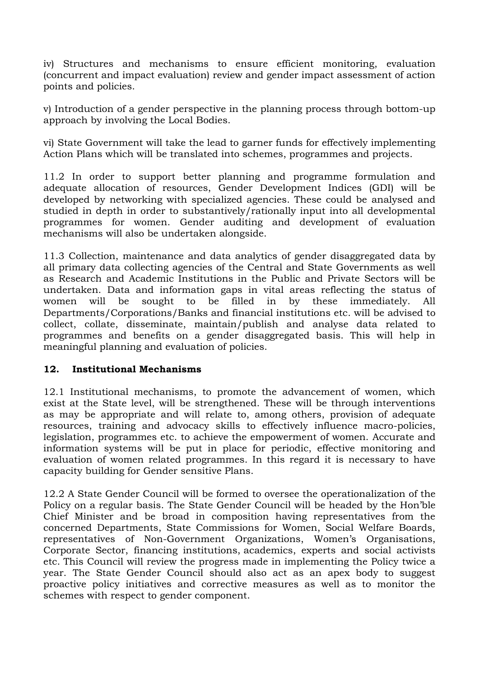iv) Structures and mechanisms to ensure efficient monitoring, evaluation (concurrent and impact evaluation) review and gender impact assessment of action points and policies.

v) Introduction of a gender perspective in the planning process through bottom-up approach by involving the Local Bodies.

vi) State Government will take the lead to garner funds for effectively implementing Action Plans which will be translated into schemes, programmes and projects.

11.2 In order to support better planning and programme formulation and adequate allocation of resources, Gender Development Indices (GDI) will be developed by networking with specialized agencies. These could be analysed and studied in depth in order to substantively/rationally input into all developmental programmes for women. Gender auditing and development of evaluation mechanisms will also be undertaken alongside.

11.3 Collection, maintenance and data analytics of gender disaggregated data by all primary data collecting agencies of the Central and State Governments as well as Research and Academic Institutions in the Public and Private Sectors will be undertaken. Data and information gaps in vital areas reflecting the status of women will be sought to be filled in by these immediately. All Departments/Corporations/Banks and financial institutions etc. will be advised to collect, collate, disseminate, maintain/publish and analyse data related to programmes and benefits on a gender disaggregated basis. This will help in meaningful planning and evaluation of policies.

#### **12. Institutional Mechanisms**

12.1 Institutional mechanisms, to promote the advancement of women, which exist at the State level, will be strengthened. These will be through interventions as may be appropriate and will relate to, among others, provision of adequate resources, training and advocacy skills to effectively influence macro-policies, legislation, programmes etc. to achieve the empowerment of women. Accurate and information systems will be put in place for periodic, effective monitoring and evaluation of women related programmes. In this regard it is necessary to have capacity building for Gender sensitive Plans.

12.2 A State Gender Council will be formed to oversee the operationalization of the Policy on a regular basis. The State Gender Council will be headed by the Hon'ble Chief Minister and be broad in composition having representatives from the concerned Departments, State Commissions for Women, Social Welfare Boards, representatives of Non-Government Organizations, Women's Organisations, Corporate Sector, financing institutions, academics, experts and social activists etc. This Council will review the progress made in implementing the Policy twice a year. The State Gender Council should also act as an apex body to suggest proactive policy initiatives and corrective measures as well as to monitor the schemes with respect to gender component.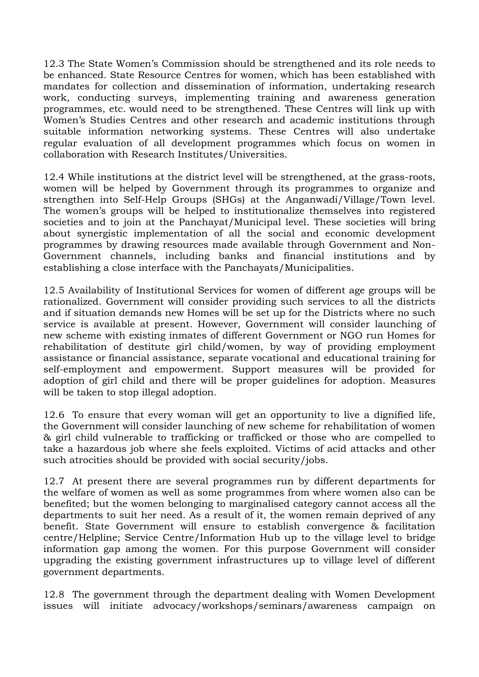12.3 The State Women's Commission should be strengthened and its role needs to be enhanced. State Resource Centres for women, which has been established with mandates for collection and dissemination of information, undertaking research work, conducting surveys, implementing training and awareness generation programmes, etc. would need to be strengthened. These Centres will link up with Women's Studies Centres and other research and academic institutions through suitable information networking systems. These Centres will also undertake regular evaluation of all development programmes which focus on women in collaboration with Research Institutes/Universities.

12.4 While institutions at the district level will be strengthened, at the grass-roots, women will be helped by Government through its programmes to organize and strengthen into Self-Help Groups (SHGs) at the Anganwadi/Village/Town level. The women's groups will be helped to institutionalize themselves into registered societies and to join at the Panchayat/Municipal level. These societies will bring about synergistic implementation of all the social and economic development programmes by drawing resources made available through Government and Non-Government channels, including banks and financial institutions and by establishing a close interface with the Panchayats/Municipalities.

12.5 Availability of Institutional Services for women of different age groups will be rationalized. Government will consider providing such services to all the districts and if situation demands new Homes will be set up for the Districts where no such service is available at present. However, Government will consider launching of new scheme with existing inmates of different Government or NGO run Homes for rehabilitation of destitute girl child/women, by way of providing employment assistance or financial assistance, separate vocational and educational training for self-employment and empowerment. Support measures will be provided for adoption of girl child and there will be proper guidelines for adoption. Measures will be taken to stop illegal adoption.

12.6 To ensure that every woman will get an opportunity to live a dignified life, the Government will consider launching of new scheme for rehabilitation of women & girl child vulnerable to trafficking or trafficked or those who are compelled to take a hazardous job where she feels exploited. Victims of acid attacks and other such atrocities should be provided with social security/jobs.

12.7 At present there are several programmes run by different departments for the welfare of women as well as some programmes from where women also can be benefited; but the women belonging to marginalised category cannot access all the departments to suit her need. As a result of it, the women remain deprived of any benefit. State Government will ensure to establish convergence & facilitation centre/Helpline; Service Centre/Information Hub up to the village level to bridge information gap among the women. For this purpose Government will consider upgrading the existing government infrastructures up to village level of different government departments.

12.8 The government through the department dealing with Women Development issues will initiate advocacy/workshops/seminars/awareness campaign on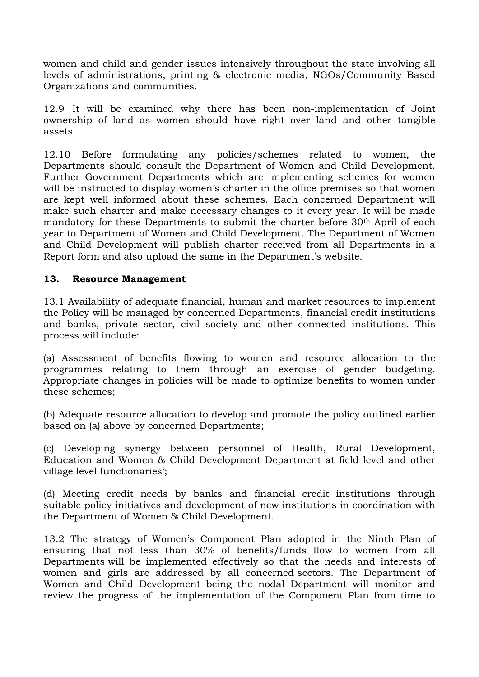women and child and gender issues intensively throughout the state involving all levels of administrations, printing & electronic media, NGOs/Community Based Organizations and communities.

12.9 It will be examined why there has been non-implementation of Joint ownership of land as women should have right over land and other tangible assets.

12.10 Before formulating any policies/schemes related to women, the Departments should consult the Department of Women and Child Development. Further Government Departments which are implementing schemes for women will be instructed to display women's charter in the office premises so that women are kept well informed about these schemes. Each concerned Department will make such charter and make necessary changes to it every year. It will be made mandatory for these Departments to submit the charter before 30<sup>th</sup> April of each year to Department of Women and Child Development. The Department of Women and Child Development will publish charter received from all Departments in a Report form and also upload the same in the Department's website.

### **13. Resource Management**

13.1 Availability of adequate financial, human and market resources to implement the Policy will be managed by concerned Departments, financial credit institutions and banks, private sector, civil society and other connected institutions. This process will include:

(a) Assessment of benefits flowing to women and resource allocation to the programmes relating to them through an exercise of gender budgeting. Appropriate changes in policies will be made to optimize benefits to women under these schemes;

(b) Adequate resource allocation to develop and promote the policy outlined earlier based on (a) above by concerned Departments;

(c) Developing synergy between personnel of Health, Rural Development, Education and Women & Child Development Department at field level and other village level functionaries';

(d) Meeting credit needs by banks and financial credit institutions through suitable policy initiatives and development of new institutions in coordination with the Department of Women & Child Development.

13.2 The strategy of Women's Component Plan adopted in the Ninth Plan of ensuring that not less than 30% of benefits/funds flow to women from all Departments will be implemented effectively so that the needs and interests of women and girls are addressed by all concerned sectors. The Department of Women and Child Development being the nodal Department will monitor and review the progress of the implementation of the Component Plan from time to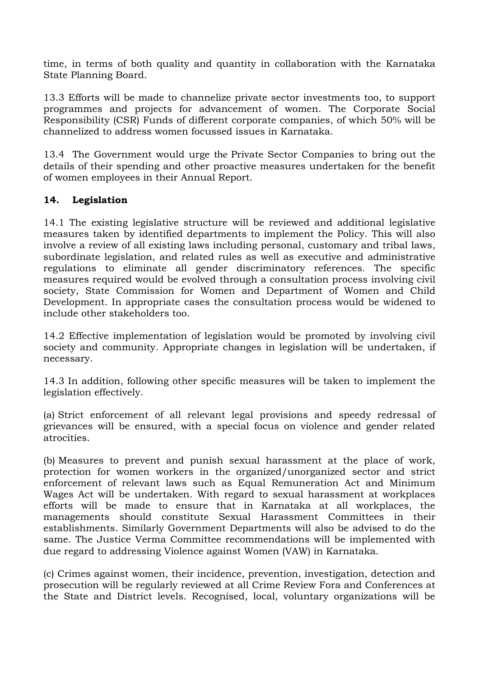time, in terms of both quality and quantity in collaboration with the Karnataka State Planning Board.

13.3 Efforts will be made to channelize private sector investments too, to support programmes and projects for advancement of women. The Corporate Social Responsibility (CSR) Funds of different corporate companies, of which 50% will be channelized to address women focussed issues in Karnataka.

13.4 The Government would urge the Private Sector Companies to bring out the details of their spending and other proactive measures undertaken for the benefit of women employees in their Annual Report.

### **14. Legislation**

14.1 The existing legislative structure will be reviewed and additional legislative measures taken by identified departments to implement the Policy. This will also involve a review of all existing laws including personal, customary and tribal laws, subordinate legislation, and related rules as well as executive and administrative regulations to eliminate all gender discriminatory references. The specific measures required would be evolved through a consultation process involving civil society, State Commission for Women and Department of Women and Child Development. In appropriate cases the consultation process would be widened to include other stakeholders too.

14.2 Effective implementation of legislation would be promoted by involving civil society and community. Appropriate changes in legislation will be undertaken, if necessary.

14.3 In addition, following other specific measures will be taken to implement the legislation effectively.

(a) Strict enforcement of all relevant legal provisions and speedy redressal of grievances will be ensured, with a special focus on violence and gender related atrocities.

(b) Measures to prevent and punish sexual harassment at the place of work, protection for women workers in the organized/unorganized sector and strict enforcement of relevant laws such as Equal Remuneration Act and Minimum Wages Act will be undertaken. With regard to sexual harassment at workplaces efforts will be made to ensure that in Karnataka at all workplaces, the managements should constitute Sexual Harassment Committees in their establishments. Similarly Government Departments will also be advised to do the same. The Justice Verma Committee recommendations will be implemented with due regard to addressing Violence against Women (VAW) in Karnataka.

(c) Crimes against women, their incidence, prevention, investigation, detection and prosecution will be regularly reviewed at all Crime Review Fora and Conferences at the State and District levels. Recognised, local, voluntary organizations will be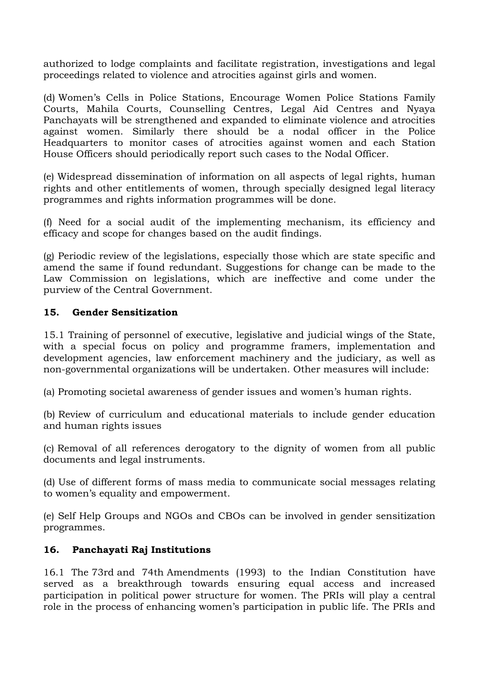authorized to lodge complaints and facilitate registration, investigations and legal proceedings related to violence and atrocities against girls and women.

(d) Women's Cells in Police Stations, Encourage Women Police Stations Family Courts, Mahila Courts, Counselling Centres, Legal Aid Centres and Nyaya Panchayats will be strengthened and expanded to eliminate violence and atrocities against women. Similarly there should be a nodal officer in the Police Headquarters to monitor cases of atrocities against women and each Station House Officers should periodically report such cases to the Nodal Officer.

(e) Widespread dissemination of information on all aspects of legal rights, human rights and other entitlements of women, through specially designed legal literacy programmes and rights information programmes will be done.

(f) Need for a social audit of the implementing mechanism, its efficiency and efficacy and scope for changes based on the audit findings.

(g) Periodic review of the legislations, especially those which are state specific and amend the same if found redundant. Suggestions for change can be made to the Law Commission on legislations, which are ineffective and come under the purview of the Central Government.

### **15. Gender Sensitization**

15.1 Training of personnel of executive, legislative and judicial wings of the State, with a special focus on policy and programme framers, implementation and development agencies, law enforcement machinery and the judiciary, as well as non-governmental organizations will be undertaken. Other measures will include:

(a) Promoting societal awareness of gender issues and women's human rights.

(b) Review of curriculum and educational materials to include gender education and human rights issues

(c) Removal of all references derogatory to the dignity of women from all public documents and legal instruments.

(d) Use of different forms of mass media to communicate social messages relating to women's equality and empowerment.

(e) Self Help Groups and NGOs and CBOs can be involved in gender sensitization programmes.

### **16. Panchayati Raj Institutions**

16.1 The 73rd and 74th Amendments (1993) to the Indian Constitution have served as a breakthrough towards ensuring equal access and increased participation in political power structure for women. The PRIs will play a central role in the process of enhancing women's participation in public life. The PRIs and